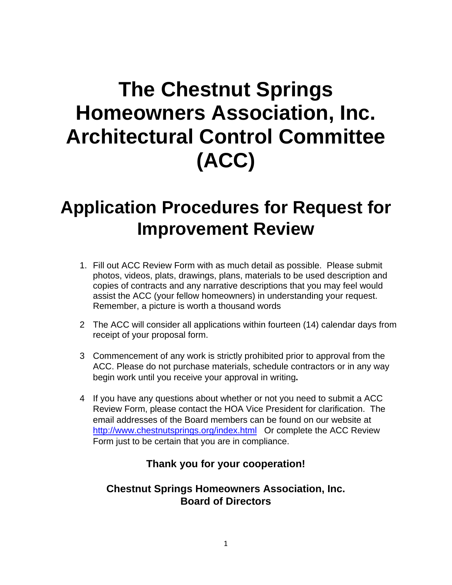# **The Chestnut Springs Homeowners Association, Inc. Architectural Control Committee (ACC)**

## **Application Procedures for Request for Improvement Review**

- 1. Fill out ACC Review Form with as much detail as possible. Please submit photos, videos, plats, drawings, plans, materials to be used description and copies of contracts and any narrative descriptions that you may feel would assist the ACC (your fellow homeowners) in understanding your request. Remember, a picture is worth a thousand words
- 2 The ACC will consider all applications within fourteen (14) calendar days from receipt of your proposal form.
- 3 Commencement of any work is strictly prohibited prior to approval from the ACC. Please do not purchase materials, schedule contractors or in any way begin work until you receive your approval in writing**.**
- 4 If you have any questions about whether or not you need to submit a ACC Review Form, please contact the HOA Vice President for clarification. The email addresses of the Board members can be found on our website at http://www.chestnutsprings.org/index.html Or complete the ACC Review Form just to be certain that you are in compliance.

#### **Thank you for your cooperation!**

#### **Chestnut Springs Homeowners Association, Inc. Board of Directors**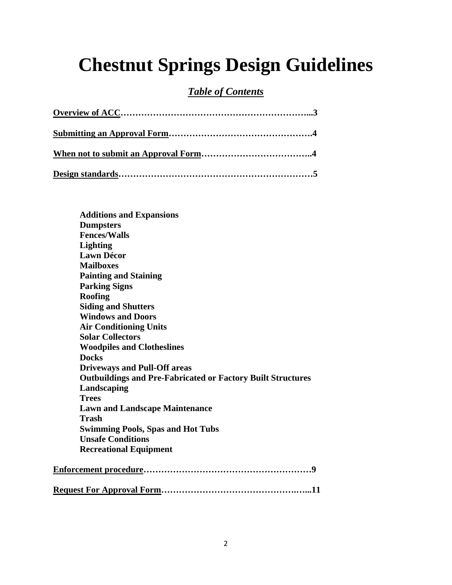# **Chestnut Springs Design Guidelines**

#### *Table of Contents*

| <b>Additions and Expansions</b>                                    |
|--------------------------------------------------------------------|
| <b>Dumpsters</b>                                                   |
| <b>Fences/Walls</b>                                                |
| <b>Lighting</b>                                                    |
| <b>Lawn Décor</b>                                                  |
| <b>Mailboxes</b>                                                   |
| <b>Painting and Staining</b>                                       |
| <b>Parking Signs</b>                                               |
| <b>Roofing</b>                                                     |
| <b>Siding and Shutters</b>                                         |
| <b>Windows and Doors</b>                                           |
| <b>Air Conditioning Units</b>                                      |
| <b>Solar Collectors</b>                                            |
| <b>Woodpiles and Clotheslines</b>                                  |
| <b>Docks</b>                                                       |
| <b>Driveways and Pull-Off areas</b>                                |
| <b>Outbuildings and Pre-Fabricated or Factory Built Structures</b> |
| Landscaping                                                        |
| <b>Trees</b>                                                       |
| <b>Lawn and Landscape Maintenance</b>                              |
| Trash                                                              |
| <b>Swimming Pools, Spas and Hot Tubs</b>                           |
| <b>Unsafe Conditions</b>                                           |
| <b>Recreational Equipment</b>                                      |
|                                                                    |
|                                                                    |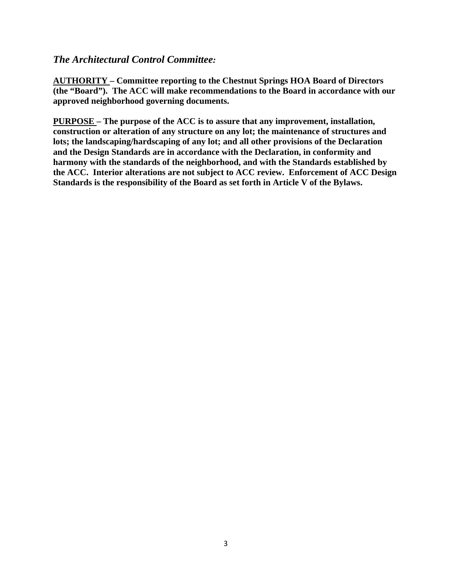#### *The Architectural Control Committee:*

**AUTHORITY – Committee reporting to the Chestnut Springs HOA Board of Directors (the "Board"). The ACC will make recommendations to the Board in accordance with our approved neighborhood governing documents.** 

**PURPOSE – The purpose of the ACC is to assure that any improvement, installation, construction or alteration of any structure on any lot; the maintenance of structures and lots; the landscaping/hardscaping of any lot; and all other provisions of the Declaration and the Design Standards are in accordance with the Declaration, in conformity and harmony with the standards of the neighborhood, and with the Standards established by the ACC. Interior alterations are not subject to ACC review. Enforcement of ACC Design Standards is the responsibility of the Board as set forth in Article V of the Bylaws.**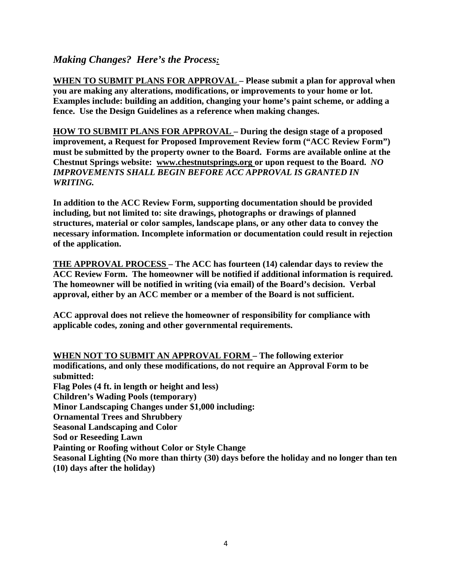#### *Making Changes? Here's the Process:*

**WHEN TO SUBMIT PLANS FOR APPROVAL – Please submit a plan for approval when you are making any alterations, modifications, or improvements to your home or lot. Examples include: building an addition, changing your home's paint scheme, or adding a fence. Use the Design Guidelines as a reference when making changes.** 

**HOW TO SUBMIT PLANS FOR APPROVAL – During the design stage of a proposed improvement, a Request for Proposed Improvement Review form ("ACC Review Form") must be submitted by the property owner to the Board. Forms are available online at the Chestnut Springs website: www.chestnutsprings.org or upon request to the Board.** *NO IMPROVEMENTS SHALL BEGIN BEFORE ACC APPROVAL IS GRANTED IN WRITING.*

**In addition to the ACC Review Form, supporting documentation should be provided including, but not limited to: site drawings, photographs or drawings of planned structures, material or color samples, landscape plans, or any other data to convey the necessary information. Incomplete information or documentation could result in rejection of the application.** 

**THE APPROVAL PROCESS – The ACC has fourteen (14) calendar days to review the ACC Review Form. The homeowner will be notified if additional information is required. The homeowner will be notified in writing (via email) of the Board's decision. Verbal approval, either by an ACC member or a member of the Board is not sufficient.** 

**ACC approval does not relieve the homeowner of responsibility for compliance with applicable codes, zoning and other governmental requirements.** 

**WHEN NOT TO SUBMIT AN APPROVAL FORM – The following exterior modifications, and only these modifications, do not require an Approval Form to be submitted: Flag Poles (4 ft. in length or height and less) Children's Wading Pools (temporary) Minor Landscaping Changes under \$1,000 including: Ornamental Trees and Shrubbery Seasonal Landscaping and Color Sod or Reseeding Lawn Painting or Roofing without Color or Style Change Seasonal Lighting (No more than thirty (30) days before the holiday and no longer than ten (10) days after the holiday)**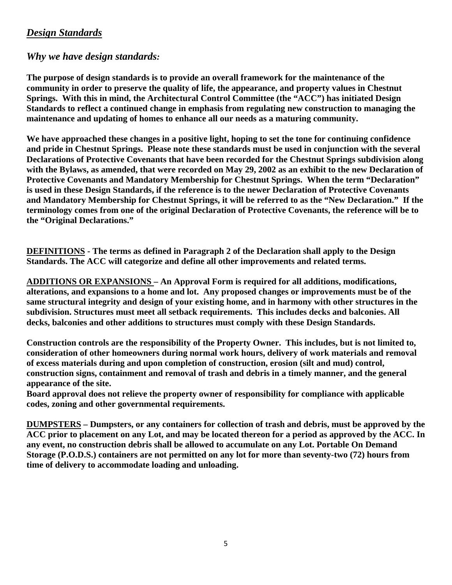#### *Design Standards*

#### *Why we have design standards:*

**The purpose of design standards is to provide an overall framework for the maintenance of the community in order to preserve the quality of life, the appearance, and property values in Chestnut Springs. With this in mind, the Architectural Control Committee (the "ACC") has initiated Design Standards to reflect a continued change in emphasis from regulating new construction to managing the maintenance and updating of homes to enhance all our needs as a maturing community.** 

**We have approached these changes in a positive light, hoping to set the tone for continuing confidence and pride in Chestnut Springs. Please note these standards must be used in conjunction with the several Declarations of Protective Covenants that have been recorded for the Chestnut Springs subdivision along with the Bylaws, as amended, that were recorded on May 29, 2002 as an exhibit to the new Declaration of Protective Covenants and Mandatory Membership for Chestnut Springs. When the term "Declaration" is used in these Design Standards, if the reference is to the newer Declaration of Protective Covenants and Mandatory Membership for Chestnut Springs, it will be referred to as the "New Declaration." If the terminology comes from one of the original Declaration of Protective Covenants, the reference will be to the "Original Declarations."** 

**DEFINITIONS - The terms as defined in Paragraph 2 of the Declaration shall apply to the Design Standards. The ACC will categorize and define all other improvements and related terms.** 

**ADDITIONS OR EXPANSIONS – An Approval Form is required for all additions, modifications, alterations, and expansions to a home and lot. Any proposed changes or improvements must be of the same structural integrity and design of your existing home, and in harmony with other structures in the subdivision. Structures must meet all setback requirements. This includes decks and balconies. All decks, balconies and other additions to structures must comply with these Design Standards.** 

**Construction controls are the responsibility of the Property Owner. This includes, but is not limited to, consideration of other homeowners during normal work hours, delivery of work materials and removal of excess materials during and upon completion of construction, erosion (silt and mud) control, construction signs, containment and removal of trash and debris in a timely manner, and the general appearance of the site.** 

**Board approval does not relieve the property owner of responsibility for compliance with applicable codes, zoning and other governmental requirements.** 

**DUMPSTERS – Dumpsters, or any containers for collection of trash and debris, must be approved by the ACC prior to placement on any Lot, and may be located thereon for a period as approved by the ACC. In any event, no construction debris shall be allowed to accumulate on any Lot. Portable On Demand Storage (P.O.D.S.) containers are not permitted on any lot for more than seventy-two (72) hours from time of delivery to accommodate loading and unloading.**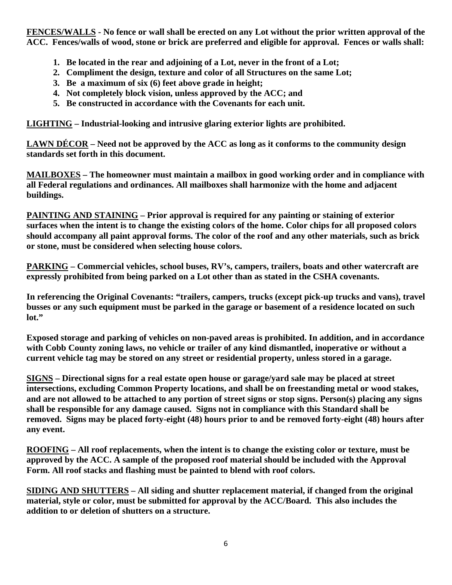**FENCES/WALLS - No fence or wall shall be erected on any Lot without the prior written approval of the ACC. Fences/walls of wood, stone or brick are preferred and eligible for approval. Fences or walls shall:** 

- **1. Be located in the rear and adjoining of a Lot, never in the front of a Lot;**
- **2. Compliment the design, texture and color of all Structures on the same Lot;**
- **3. Be a maximum of six (6) feet above grade in height;**
- **4. Not completely block vision, unless approved by the ACC; and**
- **5. Be constructed in accordance with the Covenants for each unit.**

**LIGHTING – Industrial-looking and intrusive glaring exterior lights are prohibited.** 

**LAWN DÉCOR – Need not be approved by the ACC as long as it conforms to the community design standards set forth in this document.** 

**MAILBOXES – The homeowner must maintain a mailbox in good working order and in compliance with all Federal regulations and ordinances. All mailboxes shall harmonize with the home and adjacent buildings.** 

**PAINTING AND STAINING – Prior approval is required for any painting or staining of exterior surfaces when the intent is to change the existing colors of the home. Color chips for all proposed colors should accompany all paint approval forms. The color of the roof and any other materials, such as brick or stone, must be considered when selecting house colors.** 

**PARKING – Commercial vehicles, school buses, RV's, campers, trailers, boats and other watercraft are expressly prohibited from being parked on a Lot other than as stated in the CSHA covenants.** 

**In referencing the Original Covenants: "trailers, campers, trucks (except pick-up trucks and vans), travel busses or any such equipment must be parked in the garage or basement of a residence located on such lot."** 

**Exposed storage and parking of vehicles on non-paved areas is prohibited. In addition, and in accordance with Cobb County zoning laws, no vehicle or trailer of any kind dismantled, inoperative or without a current vehicle tag may be stored on any street or residential property, unless stored in a garage.** 

**SIGNS – Directional signs for a real estate open house or garage/yard sale may be placed at street intersections, excluding Common Property locations, and shall be on freestanding metal or wood stakes, and are not allowed to be attached to any portion of street signs or stop signs. Person(s) placing any signs shall be responsible for any damage caused. Signs not in compliance with this Standard shall be removed. Signs may be placed forty-eight (48) hours prior to and be removed forty-eight (48) hours after any event.** 

**ROOFING – All roof replacements, when the intent is to change the existing color or texture, must be approved by the ACC. A sample of the proposed roof material should be included with the Approval Form. All roof stacks and flashing must be painted to blend with roof colors.** 

**SIDING AND SHUTTERS – All siding and shutter replacement material, if changed from the original material, style or color, must be submitted for approval by the ACC/Board. This also includes the addition to or deletion of shutters on a structure.**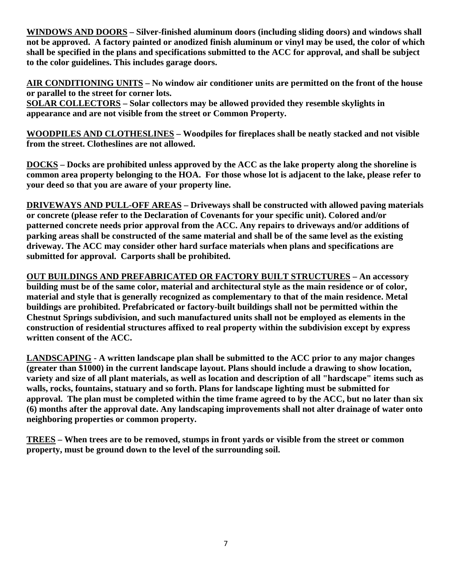**WINDOWS AND DOORS – Silver-finished aluminum doors (including sliding doors) and windows shall not be approved. A factory painted or anodized finish aluminum or vinyl may be used, the color of which shall be specified in the plans and specifications submitted to the ACC for approval, and shall be subject to the color guidelines. This includes garage doors.** 

**AIR CONDITIONING UNITS – No window air conditioner units are permitted on the front of the house or parallel to the street for corner lots.** 

**SOLAR COLLECTORS – Solar collectors may be allowed provided they resemble skylights in appearance and are not visible from the street or Common Property.** 

**WOODPILES AND CLOTHESLINES – Woodpiles for fireplaces shall be neatly stacked and not visible from the street. Clotheslines are not allowed.** 

**DOCKS – Docks are prohibited unless approved by the ACC as the lake property along the shoreline is common area property belonging to the HOA. For those whose lot is adjacent to the lake, please refer to your deed so that you are aware of your property line.** 

**DRIVEWAYS AND PULL-OFF AREAS – Driveways shall be constructed with allowed paving materials or concrete (please refer to the Declaration of Covenants for your specific unit). Colored and/or patterned concrete needs prior approval from the ACC. Any repairs to driveways and/or additions of parking areas shall be constructed of the same material and shall be of the same level as the existing driveway. The ACC may consider other hard surface materials when plans and specifications are submitted for approval. Carports shall be prohibited.** 

**OUT BUILDINGS AND PREFABRICATED OR FACTORY BUILT STRUCTURES – An accessory building must be of the same color, material and architectural style as the main residence or of color, material and style that is generally recognized as complementary to that of the main residence. Metal buildings are prohibited. Prefabricated or factory-built buildings shall not be permitted within the Chestnut Springs subdivision, and such manufactured units shall not be employed as elements in the construction of residential structures affixed to real property within the subdivision except by express written consent of the ACC.** 

**LANDSCAPING - A written landscape plan shall be submitted to the ACC prior to any major changes (greater than \$1000) in the current landscape layout. Plans should include a drawing to show location, variety and size of all plant materials, as well as location and description of all "hardscape" items such as walls, rocks, fountains, statuary and so forth. Plans for landscape lighting must be submitted for approval. The plan must be completed within the time frame agreed to by the ACC, but no later than six (6) months after the approval date. Any landscaping improvements shall not alter drainage of water onto neighboring properties or common property.** 

**TREES – When trees are to be removed, stumps in front yards or visible from the street or common property, must be ground down to the level of the surrounding soil.**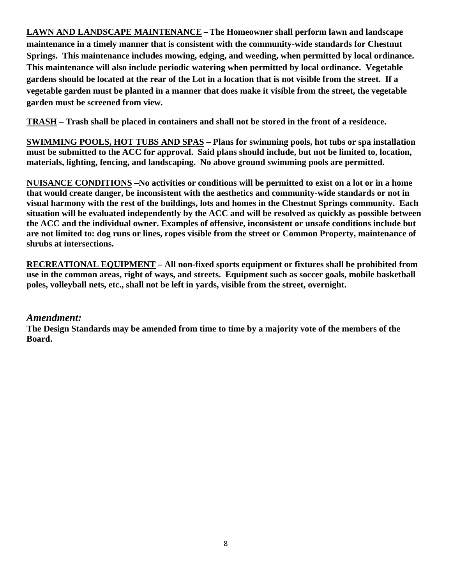**LAWN AND LANDSCAPE MAINTENANCE – The Homeowner shall perform lawn and landscape maintenance in a timely manner that is consistent with the community-wide standards for Chestnut Springs. This maintenance includes mowing, edging, and weeding, when permitted by local ordinance. This maintenance will also include periodic watering when permitted by local ordinance. Vegetable gardens should be located at the rear of the Lot in a location that is not visible from the street. If a vegetable garden must be planted in a manner that does make it visible from the street, the vegetable garden must be screened from view.**

**TRASH – Trash shall be placed in containers and shall not be stored in the front of a residence.** 

**SWIMMING POOLS, HOT TUBS AND SPAS – Plans for swimming pools, hot tubs or spa installation must be submitted to the ACC for approval. Said plans should include, but not be limited to, location, materials, lighting, fencing, and landscaping. No above ground swimming pools are permitted.** 

**NUISANCE CONDITIONS –No activities or conditions will be permitted to exist on a lot or in a home that would create danger, be inconsistent with the aesthetics and community-wide standards or not in visual harmony with the rest of the buildings, lots and homes in the Chestnut Springs community. Each situation will be evaluated independently by the ACC and will be resolved as quickly as possible between the ACC and the individual owner. Examples of offensive, inconsistent or unsafe conditions include but are not limited to: dog runs or lines, ropes visible from the street or Common Property, maintenance of shrubs at intersections.** 

**RECREATIONAL EQUIPMENT – All non-fixed sports equipment or fixtures shall be prohibited from use in the common areas, right of ways, and streets. Equipment such as soccer goals, mobile basketball poles, volleyball nets, etc., shall not be left in yards, visible from the street, overnight.** 

#### *Amendment:*

**The Design Standards may be amended from time to time by a majority vote of the members of the Board.**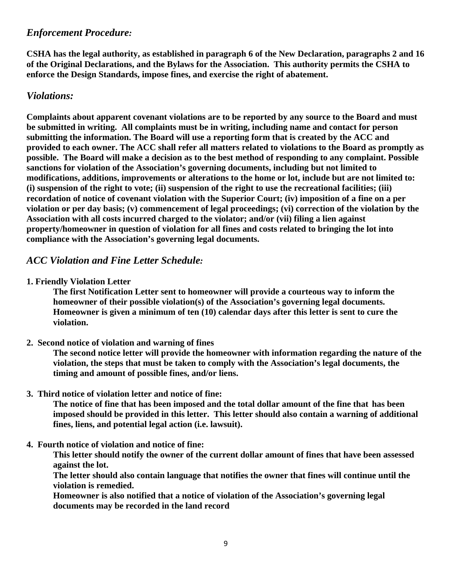#### *Enforcement Procedure:*

**CSHA has the legal authority, as established in paragraph 6 of the New Declaration, paragraphs 2 and 16 of the Original Declarations, and the Bylaws for the Association. This authority permits the CSHA to enforce the Design Standards, impose fines, and exercise the right of abatement.** 

#### *Violations:*

**Complaints about apparent covenant violations are to be reported by any source to the Board and must be submitted in writing. All complaints must be in writing, including name and contact for person submitting the information. The Board will use a reporting form that is created by the ACC and provided to each owner. The ACC shall refer all matters related to violations to the Board as promptly as possible. The Board will make a decision as to the best method of responding to any complaint. Possible sanctions for violation of the Association's governing documents, including but not limited to modifications, additions, improvements or alterations to the home or lot, include but are not limited to: (i) suspension of the right to vote; (ii) suspension of the right to use the recreational facilities; (iii) recordation of notice of covenant violation with the Superior Court; (iv) imposition of a fine on a per violation or per day basis; (v) commencement of legal proceedings; (vi) correction of the violation by the Association with all costs incurred charged to the violator; and/or (vii) filing a lien against property/homeowner in question of violation for all fines and costs related to bringing the lot into compliance with the Association's governing legal documents.** 

#### *ACC Violation and Fine Letter Schedule:*

**1. Friendly Violation Letter** 

**The first Notification Letter sent to homeowner will provide a courteous way to inform the homeowner of their possible violation(s) of the Association's governing legal documents. Homeowner is given a minimum of ten (10) calendar days after this letter is sent to cure the violation.** 

**2. Second notice of violation and warning of fines** 

 **The second notice letter will provide the homeowner with information regarding the nature of the violation, the steps that must be taken to comply with the Association's legal documents, the timing and amount of possible fines, and/or liens.** 

**3. Third notice of violation letter and notice of fine:** 

**The notice of fine that has been imposed and the total dollar amount of the fine that has been imposed should be provided in this letter. This letter should also contain a warning of additional fines, liens, and potential legal action (i.e. lawsuit).** 

**4. Fourth notice of violation and notice of fine:** 

 **This letter should notify the owner of the current dollar amount of fines that have been assessed against the lot.** 

 **The letter should also contain language that notifies the owner that fines will continue until the violation is remedied.** 

 **Homeowner is also notified that a notice of violation of the Association's governing legal documents may be recorded in the land record**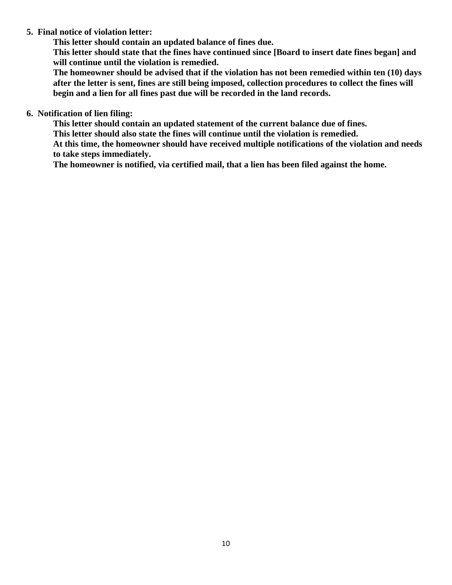#### **5. Final notice of violation letter:**

 **This letter should contain an updated balance of fines due.** 

 **This letter should state that the fines have continued since [Board to insert date fines began] and will continue until the violation is remedied.** 

**The homeowner should be advised that if the violation has not been remedied within ten (10) days after the letter is sent, fines are still being imposed, collection procedures to collect the fines will begin and a lien for all fines past due will be recorded in the land records.** 

**6. Notification of lien filing:** 

 **This letter should contain an updated statement of the current balance due of fines.** 

 **This letter should also state the fines will continue until the violation is remedied.** 

 **At this time, the homeowner should have received multiple notifications of the violation and needs to take steps immediately.** 

 **The homeowner is notified, via certified mail, that a lien has been filed against the home.**